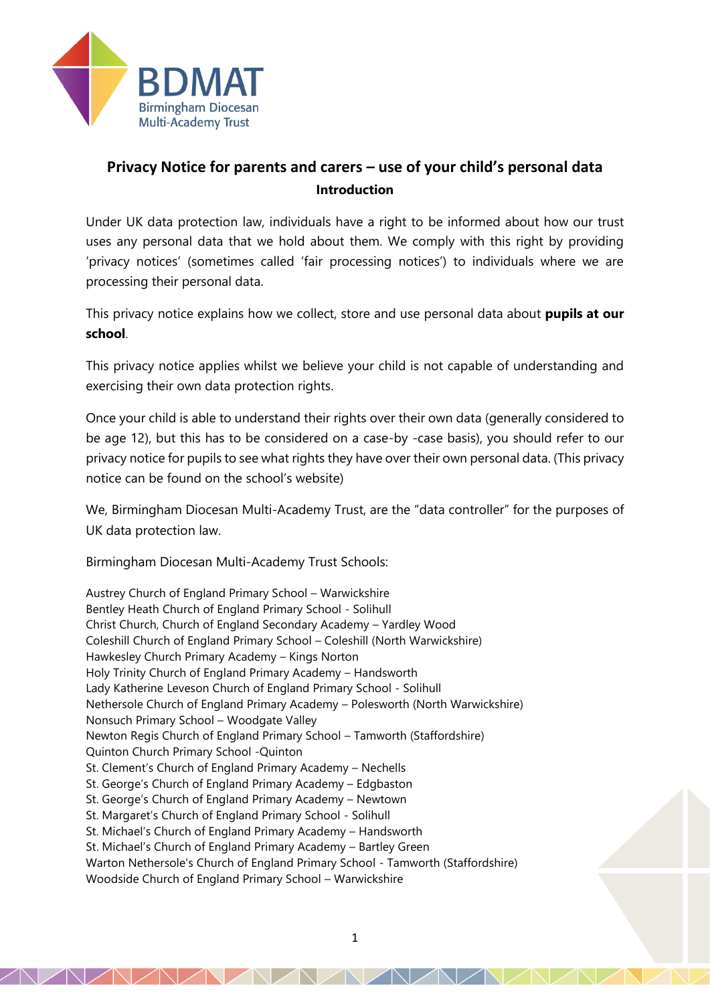

# **Privacy Notice for parents and carers – use of your child's personal data Introduction**

Under UK data protection law, individuals have a right to be informed about how our trust uses any personal data that we hold about them. We comply with this right by providing 'privacy notices' (sometimes called 'fair processing notices') to individuals where we are processing their personal data.

This privacy notice explains how we collect, store and use personal data about **pupils at our school**.

This privacy notice applies whilst we believe your child is not capable of understanding and exercising their own data protection rights.

Once your child is able to understand their rights over their own data (generally considered to be age 12), but this has to be considered on a case-by -case basis), you should refer to our privacy notice for pupils to see what rights they have over their own personal data. (This privacy notice can be found on the school's website)

We, Birmingham Diocesan Multi-Academy Trust, are the "data controller" for the purposes of UK data protection law.

Birmingham Diocesan Multi-Academy Trust Schools:

Austrey Church of England Primary School – Warwickshire Bentley Heath Church of England Primary School - Solihull Christ Church, Church of England Secondary Academy – Yardley Wood Coleshill Church of England Primary School – Coleshill (North Warwickshire) Hawkesley Church Primary Academy – Kings Norton Holy Trinity Church of England Primary Academy – Handsworth Lady Katherine Leveson Church of England Primary School - Solihull Nethersole Church of England Primary Academy – Polesworth (North Warwickshire) Nonsuch Primary School – Woodgate Valley Newton Regis Church of England Primary School – Tamworth (Staffordshire) Quinton Church Primary School -Quinton St. Clement's Church of England Primary Academy – Nechells St. George's Church of England Primary Academy – Edgbaston St. George's Church of England Primary Academy – Newtown St. Margaret's Church of England Primary School - Solihull St. Michael's Church of England Primary Academy – Handsworth St. Michael's Church of England Primary Academy – Bartley Green Warton Nethersole's Church of England Primary School - Tamworth (Staffordshire) Woodside Church of England Primary School – Warwickshire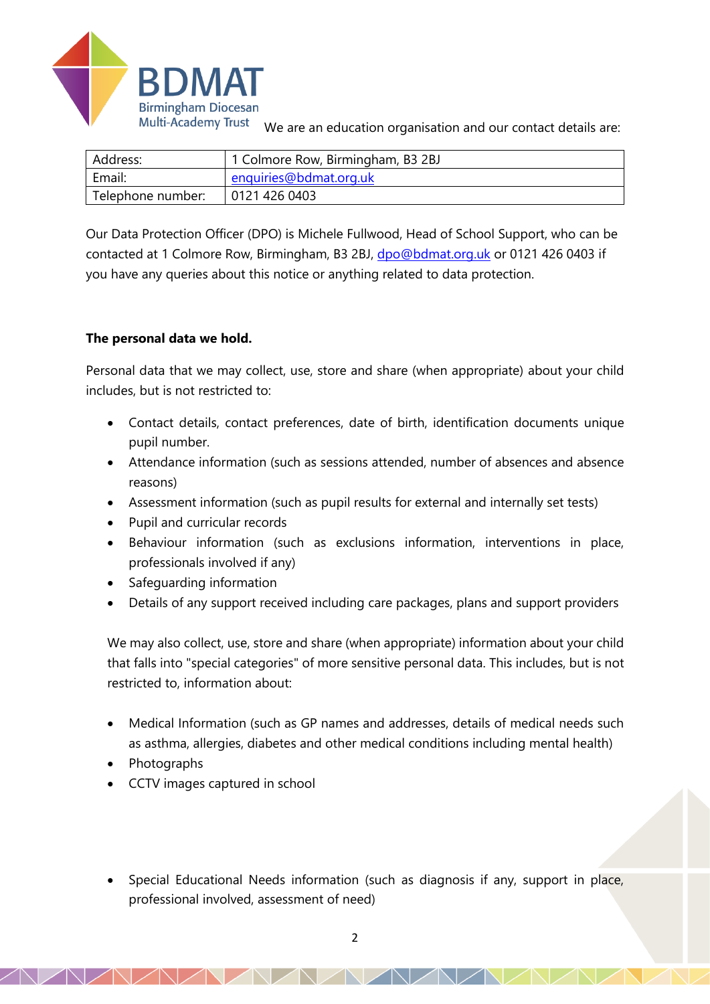

Multi-Academy Trust We are an education organisation and our contact details are:

| Address:          | 1 Colmore Row, Birmingham, B3 2BJ |
|-------------------|-----------------------------------|
| Email:            | enquiries@bdmat.org.uk            |
| Telephone number: | 0121 426 0403                     |

Our Data Protection Officer (DPO) is Michele Fullwood, Head of School Support, who can be contacted at 1 Colmore Row, Birmingham, B3 2BJ, [dpo@bdmat.org.uk](mailto:dpo@bdmat.org.uk) or 0121 426 0403 if you have any queries about this notice or anything related to data protection.

## **The personal data we hold.**

Personal data that we may collect, use, store and share (when appropriate) about your child includes, but is not restricted to:

- Contact details, contact preferences, date of birth, identification documents unique pupil number.
- Attendance information (such as sessions attended, number of absences and absence reasons)
- Assessment information (such as pupil results for external and internally set tests)
- Pupil and curricular records
- Behaviour information (such as exclusions information, interventions in place, professionals involved if any)
- Safeguarding information
- Details of any support received including care packages, plans and support providers

We may also collect, use, store and share (when appropriate) information about your child that falls into "special categories" of more sensitive personal data. This includes, but is not restricted to, information about:

- Medical Information (such as GP names and addresses, details of medical needs such as asthma, allergies, diabetes and other medical conditions including mental health)
- Photographs
- CCTV images captured in school
- Special Educational Needs information (such as diagnosis if any, support in place, professional involved, assessment of need)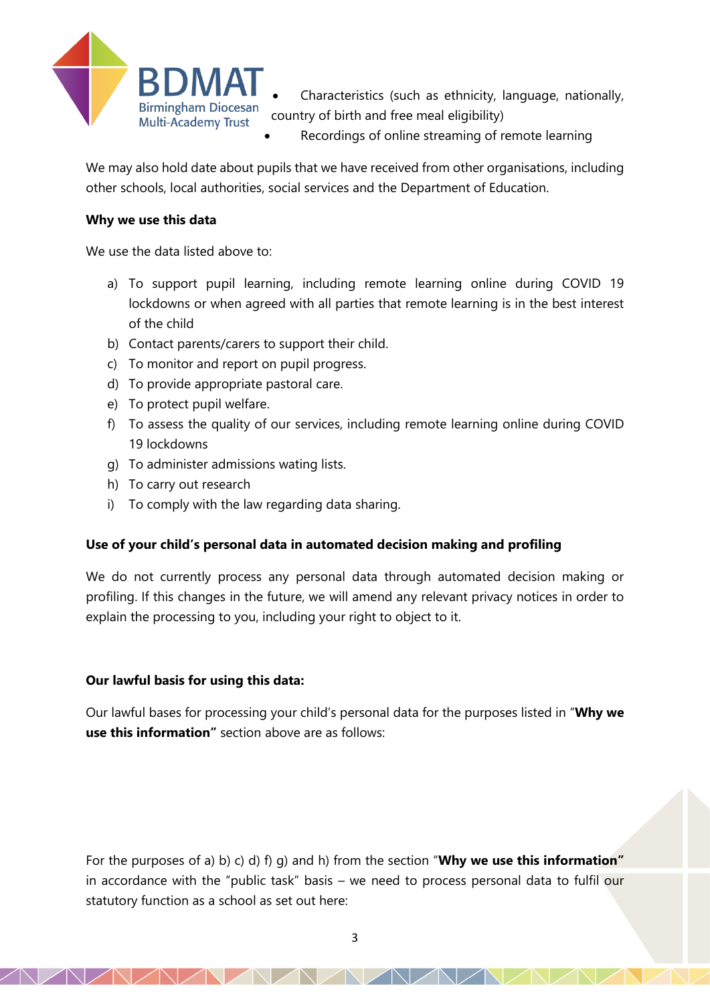

• Characteristics (such as ethnicity, language, nationally, country of birth and free meal eligibility)

Recordings of online streaming of remote learning

We may also hold date about pupils that we have received from other organisations, including other schools, local authorities, social services and the Department of Education.

#### **Why we use this data**

We use the data listed above to:

- a) To support pupil learning, including remote learning online during COVID 19 lockdowns or when agreed with all parties that remote learning is in the best interest of the child
- b) Contact parents/carers to support their child.
- c) To monitor and report on pupil progress.
- d) To provide appropriate pastoral care.
- e) To protect pupil welfare.
- f) To assess the quality of our services, including remote learning online during COVID 19 lockdowns
- g) To administer admissions wating lists.
- h) To carry out research
- i) To comply with the law regarding data sharing.

### **Use of your child's personal data in automated decision making and profiling**

We do not currently process any personal data through automated decision making or profiling. If this changes in the future, we will amend any relevant privacy notices in order to explain the processing to you, including your right to object to it.

### **Our lawful basis for using this data:**

Our lawful bases for processing your child's personal data for the purposes listed in "**Why we use this information**" section above are as follows:

For the purposes of a) b) c) d) f) g) and h) from the section "**Why we use this information"**  in accordance with the "public task" basis – we need to process personal data to fulfil our statutory function as a school as set out here: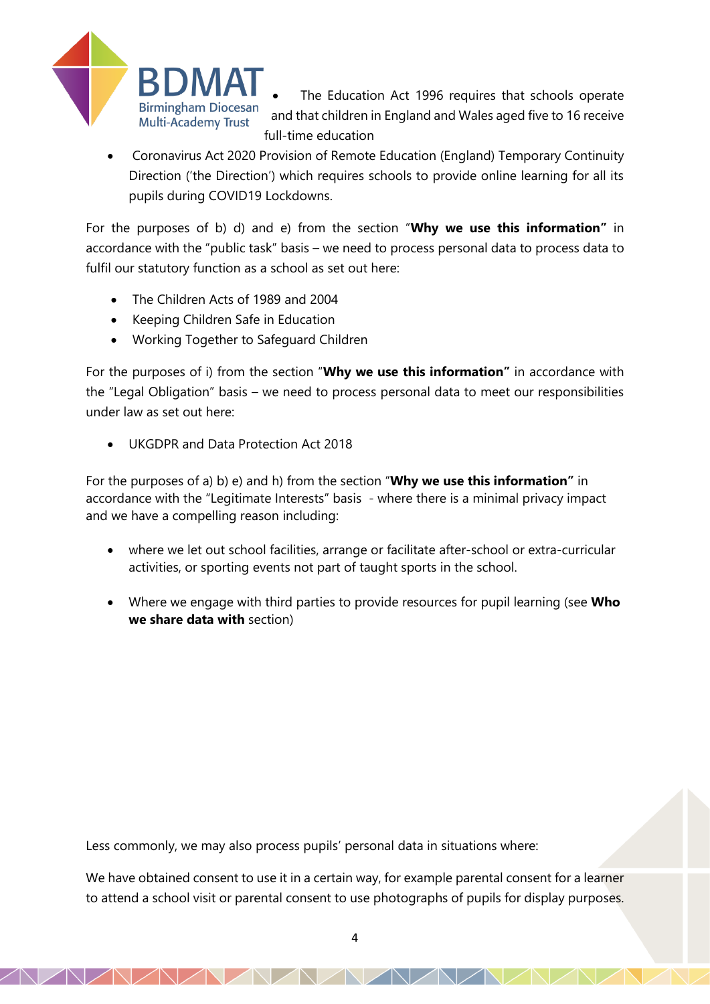

The Education Act 1996 requires that schools operate and that children in England and Wales aged five to 16 receive full-time education

• Coronavirus Act 2020 Provision of Remote Education (England) Temporary Continuity Direction ('the Direction') which requires schools to provide online learning for all its pupils during COVID19 Lockdowns.

For the purposes of b) d) and e) from the section "**Why we use this information"** in accordance with the "public task" basis – we need to process personal data to process data to fulfil our statutory function as a school as set out here:

- The Children Acts of 1989 and 2004
- Keeping Children Safe in Education
- Working Together to Safeguard Children

For the purposes of i) from the section "**Why we use this information"** in accordance with the "Legal Obligation" basis – we need to process personal data to meet our responsibilities under law as set out here:

• UKGDPR and Data Protection Act 2018

For the purposes of a) b) e) and h) from the section "**Why we use this information"** in accordance with the "Legitimate Interests" basis - where there is a minimal privacy impact and we have a compelling reason including:

- where we let out school facilities, arrange or facilitate after-school or extra-curricular activities, or sporting events not part of taught sports in the school.
- Where we engage with third parties to provide resources for pupil learning (see **Who we share data with** section)

Less commonly, we may also process pupils' personal data in situations where:

We have obtained consent to use it in a certain way, for example parental consent for a learner to attend a school visit or parental consent to use photographs of pupils for display purposes.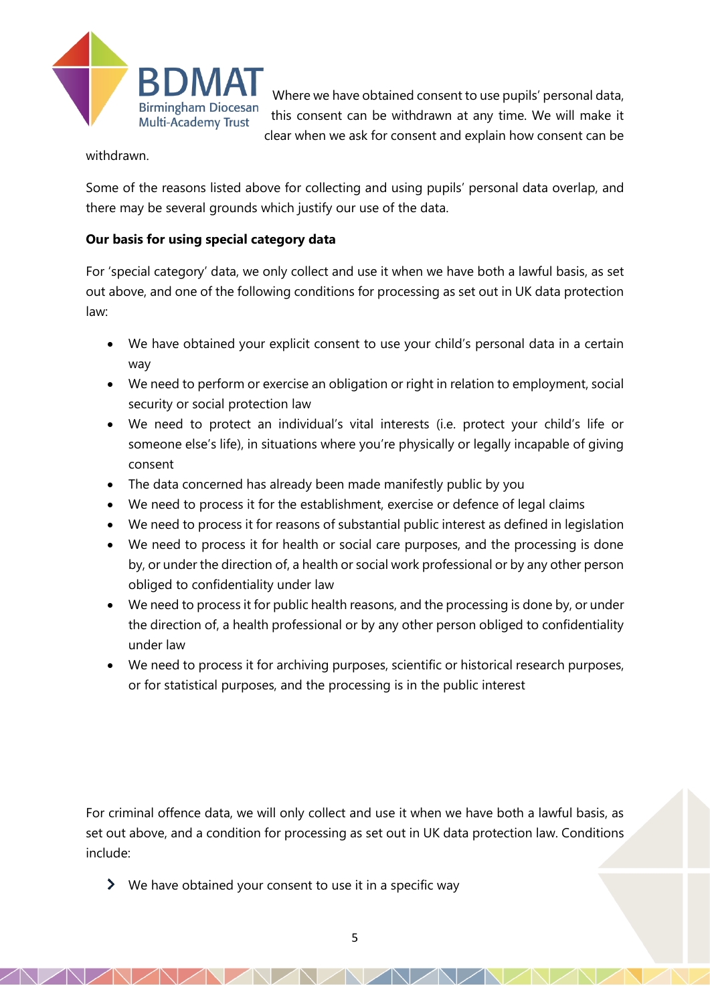

Where we have obtained consent to use pupils' personal data, this consent can be withdrawn at any time. We will make it clear when we ask for consent and explain how consent can be

withdrawn.

Some of the reasons listed above for collecting and using pupils' personal data overlap, and there may be several grounds which justify our use of the data.

## **Our basis for using special category data**

For 'special category' data, we only collect and use it when we have both a lawful basis, as set out above, and one of the following conditions for processing as set out in UK data protection law:

- We have obtained your explicit consent to use your child's personal data in a certain way
- We need to perform or exercise an obligation or right in relation to employment, social security or social protection law
- We need to protect an individual's vital interests (i.e. protect your child's life or someone else's life), in situations where you're physically or legally incapable of giving consent
- The data concerned has already been made manifestly public by you
- We need to process it for the establishment, exercise or defence of legal claims
- We need to process it for reasons of substantial public interest as defined in legislation
- We need to process it for health or social care purposes, and the processing is done by, or under the direction of, a health or social work professional or by any other person obliged to confidentiality under law
- We need to process it for public health reasons, and the processing is done by, or under the direction of, a health professional or by any other person obliged to confidentiality under law
- We need to process it for archiving purposes, scientific or historical research purposes, or for statistical purposes, and the processing is in the public interest

For criminal offence data, we will only collect and use it when we have both a lawful basis, as set out above, and a condition for processing as set out in UK data protection law. Conditions include:

 $\blacktriangleright$  We have obtained your consent to use it in a specific way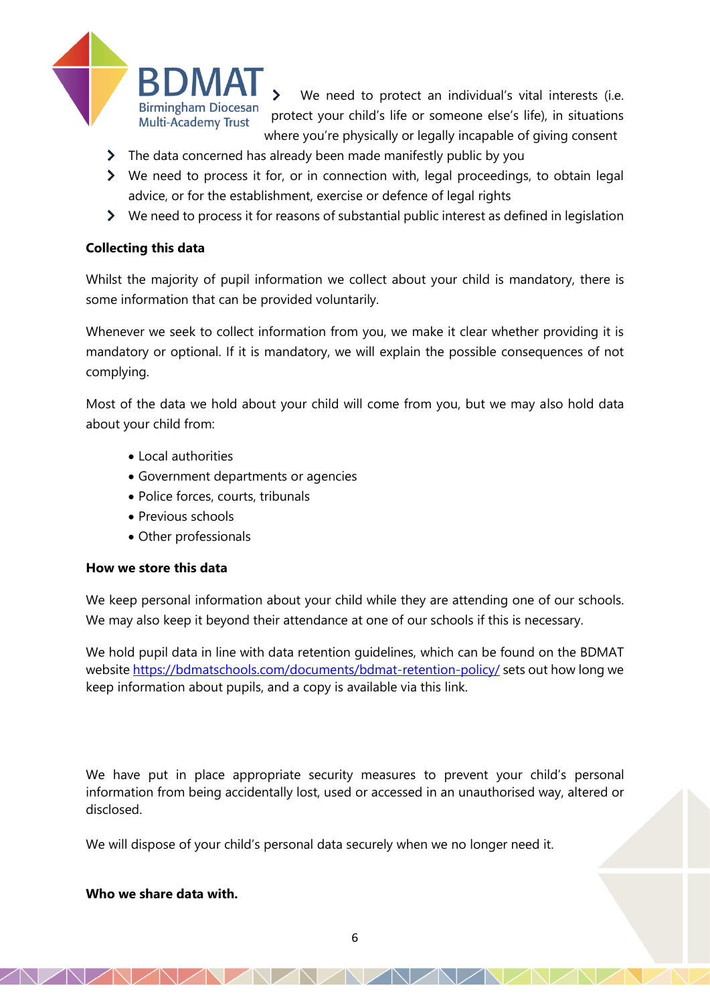

We need to protect an individual's vital interests (i.e. protect your child's life or someone else's life), in situations where you're physically or legally incapable of giving consent

- The data concerned has already been made manifestly public by you
- We need to process it for, or in connection with, legal proceedings, to obtain legal advice, or for the establishment, exercise or defence of legal rights
- We need to process it for reasons of substantial public interest as defined in legislation

#### **Collecting this data**

Whilst the majority of pupil information we collect about your child is mandatory, there is some information that can be provided voluntarily.

Whenever we seek to collect information from you, we make it clear whether providing it is mandatory or optional. If it is mandatory, we will explain the possible consequences of not complying.

Most of the data we hold about your child will come from you, but we may also hold data about your child from:

- Local authorities
- Government departments or agencies
- Police forces, courts, tribunals
- Previous schools
- Other professionals

#### **How we store this data**

We keep personal information about your child while they are attending one of our schools. We may also keep it beyond their attendance at one of our schools if this is necessary.

We hold pupil data in line with data retention guidelines, which can be found on the BDMAT websit[e https://bdmatschools.com/documents/bdmat-retention-policy/](https://bdmatschools.com/documents/bdmat-retention-policy/) sets out how long we keep information about pupils, and a copy is available via this link.

We have put in place appropriate security measures to prevent your child's personal information from being accidentally lost, used or accessed in an unauthorised way, altered or disclosed.

We will dispose of your child's personal data securely when we no longer need it.

#### **Who we share data with.**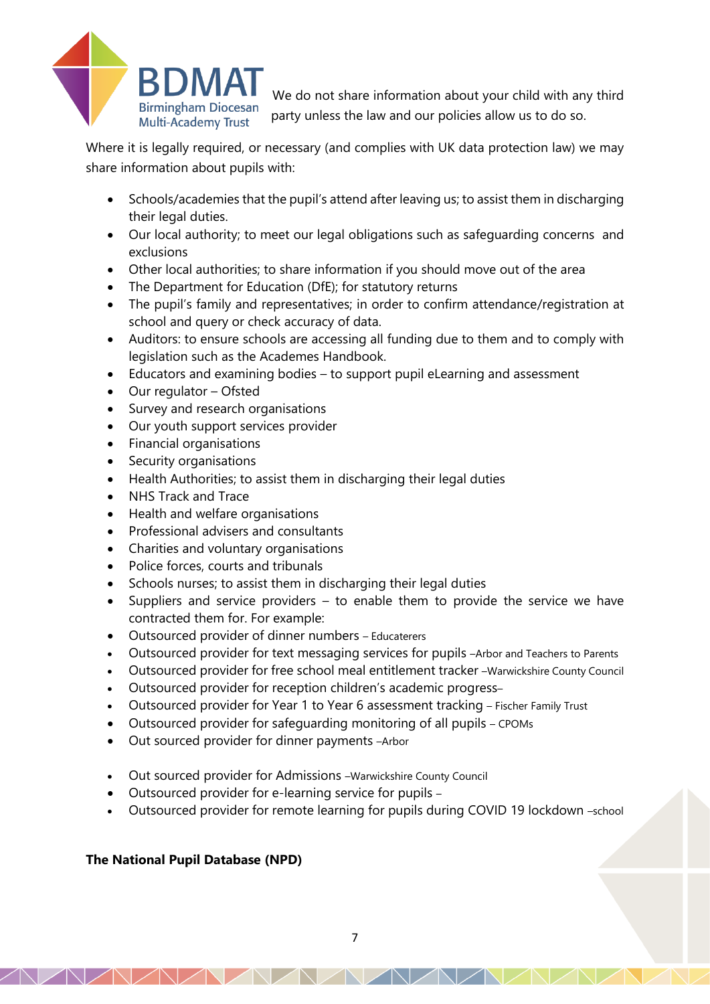

We do not share information about your child with any third party unless the law and our policies allow us to do so.

Where it is legally required, or necessary (and complies with UK data protection law) we may share information about pupils with:

- Schools/academies that the pupil's attend after leaving us; to assist them in discharging their legal duties.
- Our local authority; to meet our legal obligations such as safeguarding concerns and exclusions
- Other local authorities; to share information if you should move out of the area
- The Department for Education (DfE); for statutory returns
- The pupil's family and representatives; in order to confirm attendance/registration at school and query or check accuracy of data.
- Auditors: to ensure schools are accessing all funding due to them and to comply with legislation such as the Academes Handbook.
- Educators and examining bodies to support pupil eLearning and assessment
- Our regulator Ofsted
- Survey and research organisations
- Our youth support services provider
- Financial organisations
- Security organisations
- Health Authorities; to assist them in discharging their legal duties
- NHS Track and Trace
- Health and welfare organisations
- Professional advisers and consultants
- Charities and voluntary organisations
- Police forces, courts and tribunals
- Schools nurses; to assist them in discharging their legal duties
- Suppliers and service providers to enable them to provide the service we have contracted them for. For example:
- Outsourced provider of dinner numbers Educaterers
- Outsourced provider for text messaging services for pupils –Arbor and Teachers to Parents
- Outsourced provider for free school meal entitlement tracker –Warwickshire County Council
- Outsourced provider for reception children's academic progress–
- Outsourced provider for Year 1 to Year 6 assessment tracking Fischer Family Trust
- Outsourced provider for safeguarding monitoring of all pupils CPOMs
- Out sourced provider for dinner payments –Arbor
- Out sourced provider for Admissions –Warwickshire County Council
- Outsourced provider for e-learning service for pupils –
- Outsourced provider for remote learning for pupils during COVID 19 lockdown –school

### **The National Pupil Database (NPD)**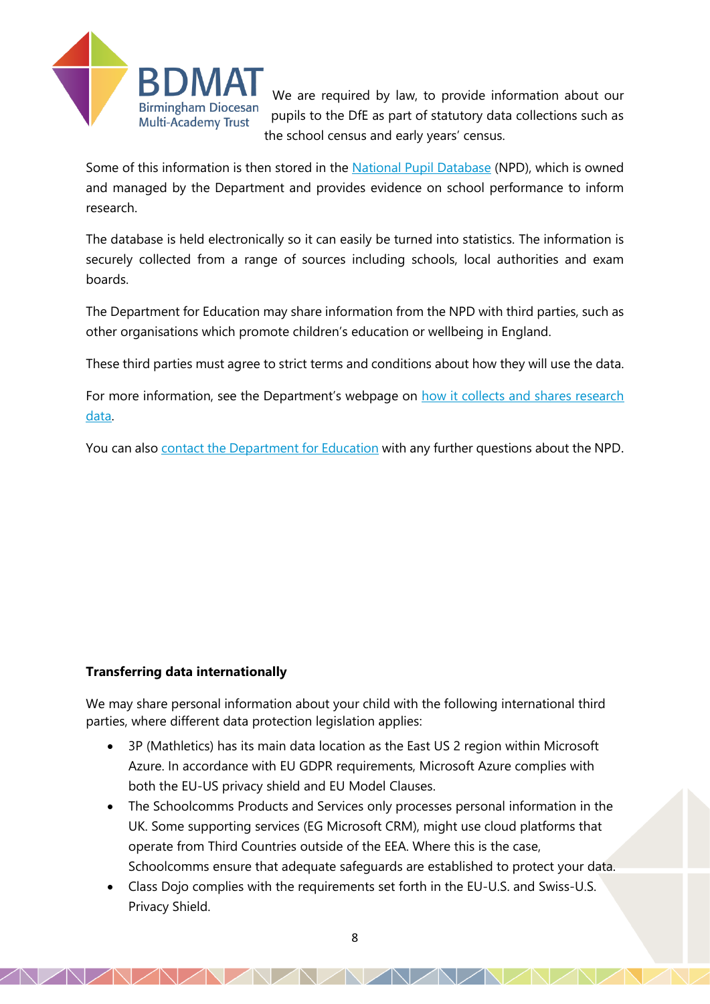

We are required by law, to provide information about our pupils to the DfE as part of statutory data collections such as the school census and early years' census.

Some of this information is then stored in the [National Pupil Database](https://www.gov.uk/government/collections/national-pupil-database) (NPD), which is owned and managed by the Department and provides evidence on school performance to inform research.

The database is held electronically so it can easily be turned into statistics. The information is securely collected from a range of sources including schools, local authorities and exam boards.

The Department for Education may share information from the NPD with third parties, such as other organisations which promote children's education or wellbeing in England.

These third parties must agree to strict terms and conditions about how they will use the data.

For more information, see the Department's webpage on how it collects and shares research [data.](https://www.gov.uk/data-protection-how-we-collect-and-share-research-data)

You can also [contact the Department for Education](https://www.gov.uk/contact-dfe) with any further questions about the NPD.

### **Transferring data internationally**

We may share personal information about your child with the following international third parties, where different data protection legislation applies:

- 3P (Mathletics) has its main data location as the East US 2 region within Microsoft Azure. In accordance with EU GDPR requirements, Microsoft Azure complies with both the EU-US privacy shield and EU Model Clauses.
- The Schoolcomms Products and Services only processes personal information in the UK. Some supporting services (EG Microsoft CRM), might use cloud platforms that operate from Third Countries outside of the EEA. Where this is the case, Schoolcomms ensure that adequate safeguards are established to protect your data.
- Class Dojo complies with the requirements set forth in the EU-U.S. and Swiss-U.S. Privacy Shield.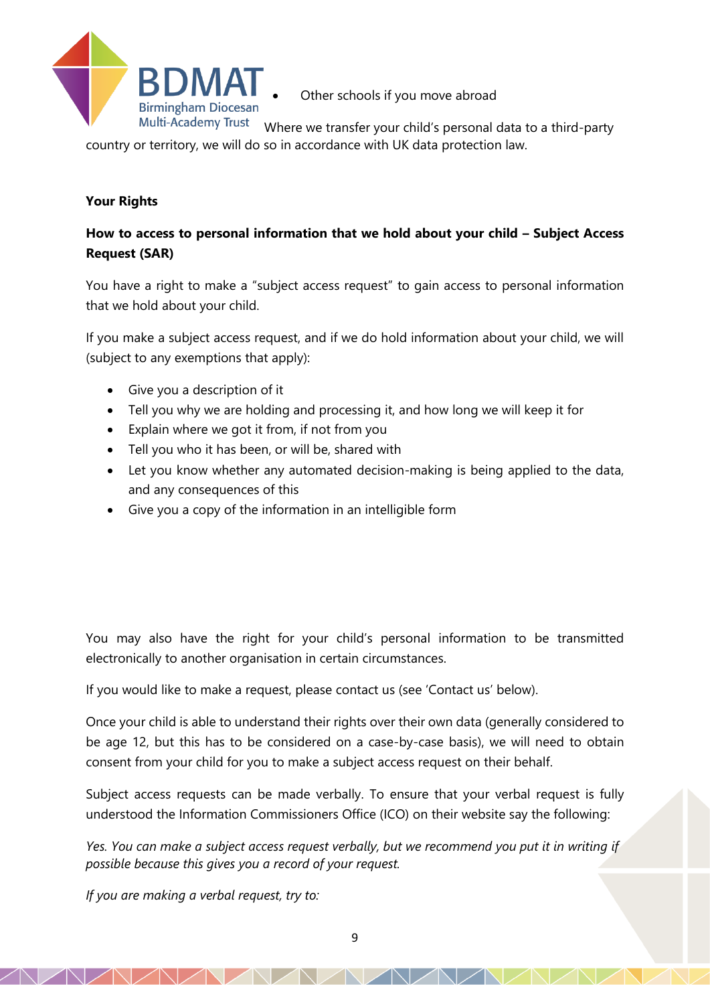

Other schools if you move abroad

Where we transfer your child's personal data to a third-party country or territory, we will do so in accordance with UK data protection law.

## **Your Rights**

## **How to access to personal information that we hold about your child – Subject Access Request (SAR)**

You have a right to make a "subject access request" to gain access to personal information that we hold about your child.

If you make a subject access request, and if we do hold information about your child, we will (subject to any exemptions that apply):

- Give you a description of it
- Tell you why we are holding and processing it, and how long we will keep it for
- Explain where we got it from, if not from you
- Tell you who it has been, or will be, shared with
- Let you know whether any automated decision-making is being applied to the data, and any consequences of this
- Give you a copy of the information in an intelligible form

You may also have the right for your child's personal information to be transmitted electronically to another organisation in certain circumstances.

If you would like to make a request, please contact us (see 'Contact us' below).

Once your child is able to understand their rights over their own data (generally considered to be age 12, but this has to be considered on a case-by-case basis), we will need to obtain consent from your child for you to make a subject access request on their behalf.

Subject access requests can be made verbally. To ensure that your verbal request is fully understood the Information Commissioners Office (ICO) on their website say the following:

*Yes. You can make a subject access request verbally, but we recommend you put it in writing if possible because this gives you a record of your request.*

*If you are making a verbal request, try to:*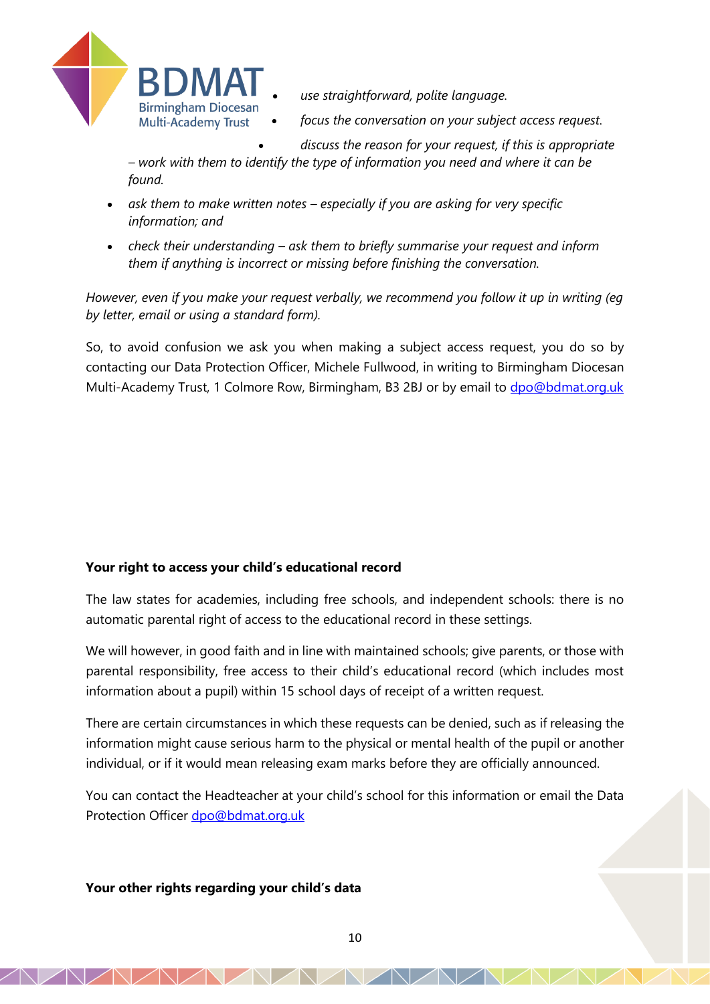

- *use straightforward, polite language.*
- *focus the conversation on your subject access request.*

• *discuss the reason for your request, if this is appropriate – work with them to identify the type of information you need and where it can be found.*

- *ask them to make written notes – especially if you are asking for very specific information; and*
- *check their understanding – ask them to briefly summarise your request and inform them if anything is incorrect or missing before finishing the conversation.*

*However, even if you make your request verbally, we recommend you follow it up in writing (eg by letter, email or using a standard form).*

So, to avoid confusion we ask you when making a subject access request, you do so by contacting our Data Protection Officer, Michele Fullwood, in writing to Birmingham Diocesan Multi-Academy Trust, 1 Colmore Row, Birmingham, B3 2BJ or by email to [dpo@bdmat.org.uk](mailto:dpo@bdmat.org.uk)

### **Your right to access your child's educational record**

The law states for academies, including free schools, and independent schools: there is no automatic parental right of access to the educational record in these settings.

We will however, in good faith and in line with maintained schools; give parents, or those with parental responsibility, free access to their child's educational record (which includes most information about a pupil) within 15 school days of receipt of a written request.

There are certain circumstances in which these requests can be denied, such as if releasing the information might cause serious harm to the physical or mental health of the pupil or another individual, or if it would mean releasing exam marks before they are officially announced.

You can contact the Headteacher at your child's school for this information or email the Data Protection Officer [dpo@bdmat.org.uk](mailto:dpo@bdmat.org.uk)

#### **Your other rights regarding your child's data**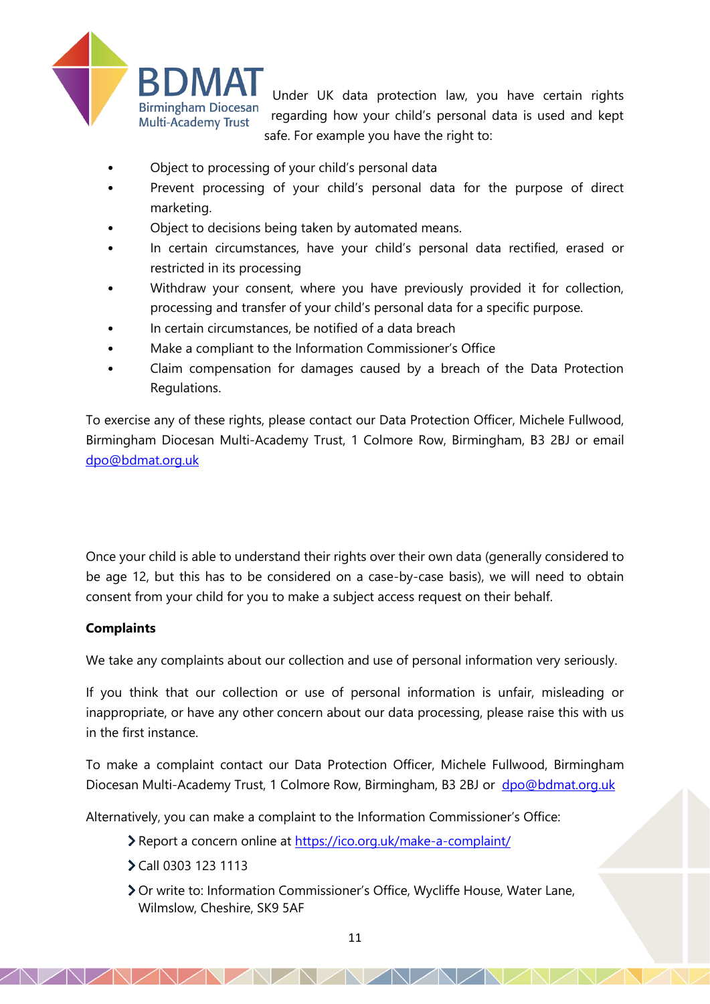

Under UK data protection law, you have certain rights regarding how your child's personal data is used and kept safe. For example you have the right to:

- Object to processing of your child's personal data
- Prevent processing of your child's personal data for the purpose of direct marketing.
- Object to decisions being taken by automated means.
- In certain circumstances, have your child's personal data rectified, erased or restricted in its processing
- Withdraw your consent, where you have previously provided it for collection, processing and transfer of your child's personal data for a specific purpose.
- In certain circumstances, be notified of a data breach
- Make a compliant to the Information Commissioner's Office
- Claim compensation for damages caused by a breach of the Data Protection Regulations.

To exercise any of these rights, please contact our Data Protection Officer, Michele Fullwood, Birmingham Diocesan Multi-Academy Trust, 1 Colmore Row, Birmingham, B3 2BJ or email [dpo@bdmat.org.uk](mailto:dpo@bdmat.org.uk)

Once your child is able to understand their rights over their own data (generally considered to be age 12, but this has to be considered on a case-by-case basis), we will need to obtain consent from your child for you to make a subject access request on their behalf.

### **Complaints**

We take any complaints about our collection and use of personal information very seriously.

If you think that our collection or use of personal information is unfair, misleading or inappropriate, or have any other concern about our data processing, please raise this with us in the first instance.

To make a complaint contact our Data Protection Officer, Michele Fullwood, Birmingham Diocesan Multi-Academy Trust, 1 Colmore Row, Birmingham, B3 2BJ or [dpo@bdmat.org.uk](mailto:dpo@bdmat.org.uk)

Alternatively, you can make a complaint to the Information Commissioner's Office:

- Report a concern online at<https://ico.org.uk/make-a-complaint/>
- Call 0303 123 1113
- Or write to: Information Commissioner's Office, Wycliffe House, Water Lane, Wilmslow, Cheshire, SK9 5AF